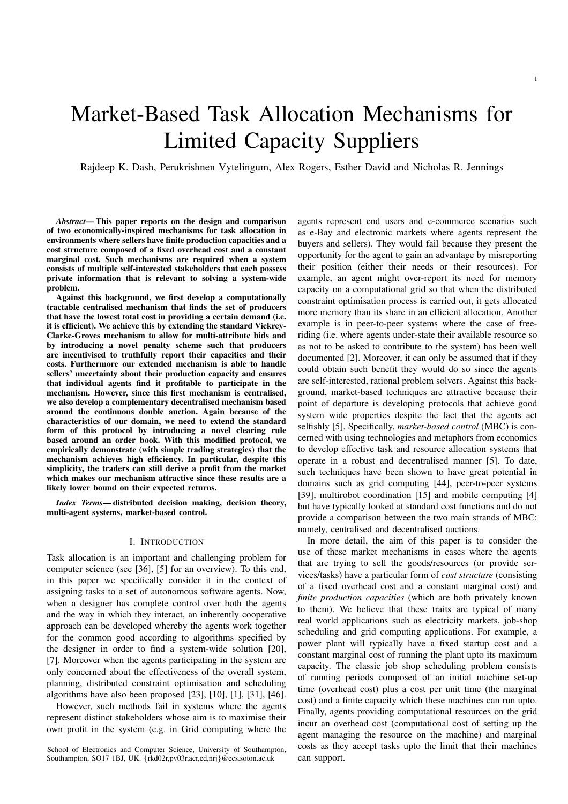# Market-Based Task Allocation Mechanisms for Limited Capacity Suppliers

Rajdeep K. Dash, Perukrishnen Vytelingum, Alex Rogers, Esther David and Nicholas R. Jennings

*Abstract***—This paper reports on the design and comparison of two economically-inspired mechanisms for task allocation in environments where sellers have finite production capacities and a cost structure composed of a fixed overhead cost and a constant marginal cost. Such mechanisms are required when a system consists of multiple self-interested stakeholders that each possess private information that is relevant to solving a system-wide problem.**

**Against this background, we first develop a computationally tractable centralised mechanism that finds the set of producers that have the lowest total cost in providing a certain demand (i.e. it is efficient). We achieve this by extending the standard Vickrey-Clarke-Groves mechanism to allow for multi-attribute bids and by introducing a novel penalty scheme such that producers are incentivised to truthfully report their capacities and their costs. Furthermore our extended mechanism is able to handle sellers' uncertainty about their production capacity and ensures that individual agents find it profitable to participate in the mechanism. However, since this first mechanism is centralised, we also develop a complementary decentralised mechanism based around the continuous double auction. Again because of the characteristics of our domain, we need to extend the standard form of this protocol by introducing a novel clearing rule based around an order book. With this modified protocol, we empirically demonstrate (with simple trading strategies) that the mechanism achieves high efficiency. In particular, despite this simplicity, the traders can still derive a profit from the market which makes our mechanism attractive since these results are a likely lower bound on their expected returns.**

*Index Terms***— distributed decision making, decision theory, multi-agent systems, market-based control.**

# I. INTRODUCTION

Task allocation is an important and challenging problem for computer science (see [36], [5] for an overview). To this end, in this paper we specifically consider it in the context of assigning tasks to a set of autonomous software agents. Now, when a designer has complete control over both the agents and the way in which they interact, an inherently cooperative approach can be developed whereby the agents work together for the common good according to algorithms specified by the designer in order to find a system-wide solution [20], [7]. Moreover when the agents participating in the system are only concerned about the effectiveness of the overall system, planning, distributed constraint optimisation and scheduling algorithms have also been proposed [23], [10], [1], [31], [46].

However, such methods fail in systems where the agents represent distinct stakeholders whose aim is to maximise their own profit in the system (e.g. in Grid computing where the

School of Electronics and Computer Science, University of Southampton, Southampton, SO17 1BJ, UK. {rkd02r,pv03r,acr,ed,nrj}@ecs.soton.ac.uk

agents represent end users and e-commerce scenarios such as e-Bay and electronic markets where agents represent the buyers and sellers). They would fail because they present the opportunity for the agent to gain an advantage by misreporting their position (either their needs or their resources). For example, an agent might over-report its need for memory capacity on a computational grid so that when the distributed constraint optimisation process is carried out, it gets allocated more memory than its share in an efficient allocation. Another example is in peer-to-peer systems where the case of freeriding (i.e. where agents under-state their available resource so as not to be asked to contribute to the system) has been well documented [2]. Moreover, it can only be assumed that if they could obtain such benefit they would do so since the agents are self-interested, rational problem solvers. Against this background, market-based techniques are attractive because their point of departure is developing protocols that achieve good system wide properties despite the fact that the agents act selfishly [5]. Specifically, *market-based control* (MBC) is concerned with using technologies and metaphors from economics to develop effective task and resource allocation systems that operate in a robust and decentralised manner [5]. To date, such techniques have been shown to have great potential in domains such as grid computing [44], peer-to-peer systems [39], multirobot coordination [15] and mobile computing [4] but have typically looked at standard cost functions and do not provide a comparison between the two main strands of MBC: namely, centralised and decentralised auctions.

In more detail, the aim of this paper is to consider the use of these market mechanisms in cases where the agents that are trying to sell the goods/resources (or provide services/tasks) have a particular form of *cost structure* (consisting of a fixed overhead cost and a constant marginal cost) and *finite production capacities* (which are both privately known to them). We believe that these traits are typical of many real world applications such as electricity markets, job-shop scheduling and grid computing applications. For example, a power plant will typically have a fixed startup cost and a constant marginal cost of running the plant upto its maximum capacity. The classic job shop scheduling problem consists of running periods composed of an initial machine set-up time (overhead cost) plus a cost per unit time (the marginal cost) and a finite capacity which these machines can run upto. Finally, agents providing computational resources on the grid incur an overhead cost (computational cost of setting up the agent managing the resource on the machine) and marginal costs as they accept tasks upto the limit that their machines can support.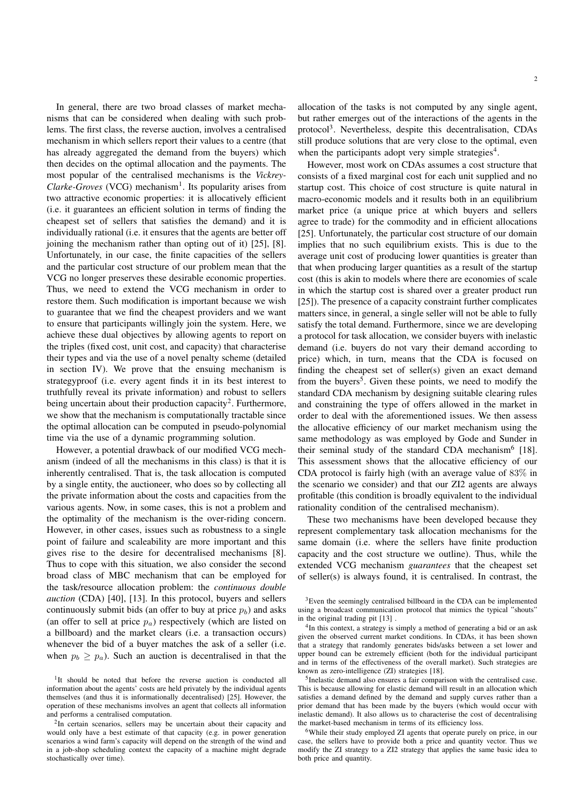In general, there are two broad classes of market mechanisms that can be considered when dealing with such problems. The first class, the reverse auction, involves a centralised mechanism in which sellers report their values to a centre (that has already aggregated the demand from the buyers) which then decides on the optimal allocation and the payments. The most popular of the centralised mechanisms is the *Vickrey-*Clarke-Groves (VCG) mechanism<sup>1</sup>. Its popularity arises from two attractive economic properties: it is allocatively efficient (i.e. it guarantees an efficient solution in terms of finding the cheapest set of sellers that satisfies the demand) and it is individually rational (i.e. it ensures that the agents are better off joining the mechanism rather than opting out of it) [25], [8]. Unfortunately, in our case, the finite capacities of the sellers and the particular cost structure of our problem mean that the VCG no longer preserves these desirable economic properties. Thus, we need to extend the VCG mechanism in order to restore them. Such modification is important because we wish to guarantee that we find the cheapest providers and we want to ensure that participants willingly join the system. Here, we achieve these dual objectives by allowing agents to report on the triples (fixed cost, unit cost, and capacity) that characterise their types and via the use of a novel penalty scheme (detailed in section IV). We prove that the ensuing mechanism is strategyproof (i.e. every agent finds it in its best interest to truthfully reveal its private information) and robust to sellers being uncertain about their production capacity<sup>2</sup>. Furthermore, we show that the mechanism is computationally tractable since the optimal allocation can be computed in pseudo-polynomial time via the use of a dynamic programming solution.

However, a potential drawback of our modified VCG mechanism (indeed of all the mechanisms in this class) is that it is inherently centralised. That is, the task allocation is computed by a single entity, the auctioneer, who does so by collecting all the private information about the costs and capacities from the various agents. Now, in some cases, this is not a problem and the optimality of the mechanism is the over-riding concern. However, in other cases, issues such as robustness to a single point of failure and scaleability are more important and this gives rise to the desire for decentralised mechanisms [8]. Thus to cope with this situation, we also consider the second broad class of MBC mechanism that can be employed for the task/resource allocation problem: the *continuous double auction* (CDA) [40], [13]. In this protocol, buyers and sellers continuously submit bids (an offer to buy at price  $p<sub>b</sub>$ ) and asks (an offer to sell at price  $p_a$ ) respectively (which are listed on a billboard) and the market clears (i.e. a transaction occurs) whenever the bid of a buyer matches the ask of a seller (i.e. when  $p_b \geq p_a$ ). Such an auction is decentralised in that the allocation of the tasks is not computed by any single agent, but rather emerges out of the interactions of the agents in the protocol<sup>3</sup>. Nevertheless, despite this decentralisation, CDAs still produce solutions that are very close to the optimal, even when the participants adopt very simple strategies<sup>4</sup>.

However, most work on CDAs assumes a cost structure that consists of a fixed marginal cost for each unit supplied and no startup cost. This choice of cost structure is quite natural in macro-economic models and it results both in an equilibrium market price (a unique price at which buyers and sellers agree to trade) for the commodity and in efficient allocations [25]. Unfortunately, the particular cost structure of our domain implies that no such equilibrium exists. This is due to the average unit cost of producing lower quantities is greater than that when producing larger quantities as a result of the startup cost (this is akin to models where there are economies of scale in which the startup cost is shared over a greater product run [25]). The presence of a capacity constraint further complicates matters since, in general, a single seller will not be able to fully satisfy the total demand. Furthermore, since we are developing a protocol for task allocation, we consider buyers with inelastic demand (i.e. buyers do not vary their demand according to price) which, in turn, means that the CDA is focused on finding the cheapest set of seller(s) given an exact demand from the buyers<sup>5</sup>. Given these points, we need to modify the standard CDA mechanism by designing suitable clearing rules and constraining the type of offers allowed in the market in order to deal with the aforementioned issues. We then assess the allocative efficiency of our market mechanism using the same methodology as was employed by Gode and Sunder in their seminal study of the standard CDA mechanism<sup>6</sup> [18]. This assessment shows that the allocative efficiency of our CDA protocol is fairly high (with an average value of 83% in the scenario we consider) and that our ZI2 agents are always profitable (this condition is broadly equivalent to the individual rationality condition of the centralised mechanism).

These two mechanisms have been developed because they represent complementary task allocation mechanisms for the same domain (i.e. where the sellers have finite production capacity and the cost structure we outline). Thus, while the extended VCG mechanism *guarantees* that the cheapest set of seller(s) is always found, it is centralised. In contrast, the

<sup>&</sup>lt;sup>1</sup>It should be noted that before the reverse auction is conducted all information about the agents' costs are held privately by the individual agents themselves (and thus it is informationally decentralised) [25]. However, the operation of these mechanisms involves an agent that collects all information and performs a centralised computation.

<sup>&</sup>lt;sup>2</sup>In certain scenarios, sellers may be uncertain about their capacity and would only have a best estimate of that capacity (e.g. in power generation scenarios a wind farm's capacity will depend on the strength of the wind and in a job-shop scheduling context the capacity of a machine might degrade stochastically over time).

<sup>3</sup>Even the seemingly centralised billboard in the CDA can be implemented using a broadcast communication protocol that mimics the typical "shouts' in the original trading pit [13] .

<sup>&</sup>lt;sup>4</sup>In this context, a strategy is simply a method of generating a bid or an ask given the observed current market conditions. In CDAs, it has been shown that a strategy that randomly generates bids/asks between a set lower and upper bound can be extremely efficient (both for the individual participant and in terms of the effectiveness of the overall market). Such strategies are known as zero-intelligence (ZI) strategies [18].

<sup>&</sup>lt;sup>5</sup>Inelastic demand also ensures a fair comparison with the centralised case. This is because allowing for elastic demand will result in an allocation which satisfies a demand defined by the demand and supply curves rather than a prior demand that has been made by the buyers (which would occur with inelastic demand). It also allows us to characterise the cost of decentralising the market-based mechanism in terms of its efficiency loss.

<sup>&</sup>lt;sup>6</sup>While their study employed ZI agents that operate purely on price, in our case, the sellers have to provide both a price and quantity vector. Thus we modify the ZI strategy to a ZI2 strategy that applies the same basic idea to both price and quantity.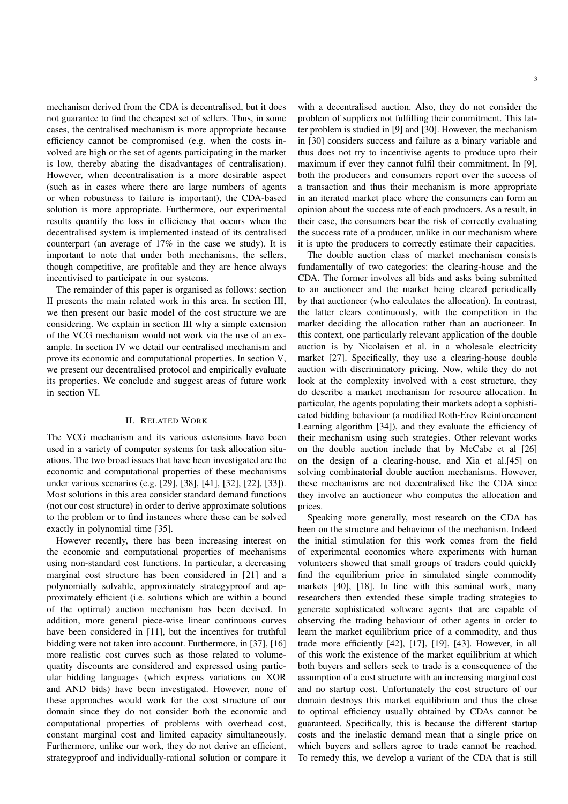mechanism derived from the CDA is decentralised, but it does not guarantee to find the cheapest set of sellers. Thus, in some cases, the centralised mechanism is more appropriate because efficiency cannot be compromised (e.g. when the costs involved are high or the set of agents participating in the market is low, thereby abating the disadvantages of centralisation). However, when decentralisation is a more desirable aspect (such as in cases where there are large numbers of agents or when robustness to failure is important), the CDA-based solution is more appropriate. Furthermore, our experimental results quantify the loss in efficiency that occurs when the decentralised system is implemented instead of its centralised counterpart (an average of 17% in the case we study). It is important to note that under both mechanisms, the sellers, though competitive, are profitable and they are hence always incentivised to participate in our systems.

The remainder of this paper is organised as follows: section II presents the main related work in this area. In section III, we then present our basic model of the cost structure we are considering. We explain in section III why a simple extension of the VCG mechanism would not work via the use of an example. In section IV we detail our centralised mechanism and prove its economic and computational properties. In section V, we present our decentralised protocol and empirically evaluate its properties. We conclude and suggest areas of future work in section VI.

# II. RELATED WORK

The VCG mechanism and its various extensions have been used in a variety of computer systems for task allocation situations. The two broad issues that have been investigated are the economic and computational properties of these mechanisms under various scenarios (e.g. [29], [38], [41], [32], [22], [33]). Most solutions in this area consider standard demand functions (not our cost structure) in order to derive approximate solutions to the problem or to find instances where these can be solved exactly in polynomial time [35].

However recently, there has been increasing interest on the economic and computational properties of mechanisms using non-standard cost functions. In particular, a decreasing marginal cost structure has been considered in [21] and a polynomially solvable, approximately strategyproof and approximately efficient (i.e. solutions which are within a bound of the optimal) auction mechanism has been devised. In addition, more general piece-wise linear continuous curves have been considered in [11], but the incentives for truthful bidding were not taken into account. Furthermore, in [37], [16] more realistic cost curves such as those related to volumequatity discounts are considered and expressed using particular bidding languages (which express variations on XOR and AND bids) have been investigated. However, none of these approaches would work for the cost structure of our domain since they do not consider both the economic and computational properties of problems with overhead cost, constant marginal cost and limited capacity simultaneously. Furthermore, unlike our work, they do not derive an efficient, strategyproof and individually-rational solution or compare it with a decentralised auction. Also, they do not consider the problem of suppliers not fulfilling their commitment. This latter problem is studied in [9] and [30]. However, the mechanism in [30] considers success and failure as a binary variable and thus does not try to incentivise agents to produce upto their maximum if ever they cannot fulfil their commitment. In [9], both the producers and consumers report over the success of a transaction and thus their mechanism is more appropriate in an iterated market place where the consumers can form an opinion about the success rate of each producers. As a result, in their case, the consumers bear the risk of correctly evaluating the success rate of a producer, unlike in our mechanism where it is upto the producers to correctly estimate their capacities.

The double auction class of market mechanism consists fundamentally of two categories: the clearing-house and the CDA. The former involves all bids and asks being submitted to an auctioneer and the market being cleared periodically by that auctioneer (who calculates the allocation). In contrast, the latter clears continuously, with the competition in the market deciding the allocation rather than an auctioneer. In this context, one particularly relevant application of the double auction is by Nicolaisen et al. in a wholesale electricity market [27]. Specifically, they use a clearing-house double auction with discriminatory pricing. Now, while they do not look at the complexity involved with a cost structure, they do describe a market mechanism for resource allocation. In particular, the agents populating their markets adopt a sophisticated bidding behaviour (a modified Roth-Erev Reinforcement Learning algorithm [34]), and they evaluate the efficiency of their mechanism using such strategies. Other relevant works on the double auction include that by McCabe et al [26] on the design of a clearing-house, and Xia et al.[45] on solving combinatorial double auction mechanisms. However, these mechanisms are not decentralised like the CDA since they involve an auctioneer who computes the allocation and prices.

Speaking more generally, most research on the CDA has been on the structure and behaviour of the mechanism. Indeed the initial stimulation for this work comes from the field of experimental economics where experiments with human volunteers showed that small groups of traders could quickly find the equilibrium price in simulated single commodity markets [40], [18]. In line with this seminal work, many researchers then extended these simple trading strategies to generate sophisticated software agents that are capable of observing the trading behaviour of other agents in order to learn the market equilibrium price of a commodity, and thus trade more efficiently [42], [17], [19], [43]. However, in all of this work the existence of the market equilibrium at which both buyers and sellers seek to trade is a consequence of the assumption of a cost structure with an increasing marginal cost and no startup cost. Unfortunately the cost structure of our domain destroys this market equilibrium and thus the close to optimal efficiency usually obtained by CDAs cannot be guaranteed. Specifically, this is because the different startup costs and the inelastic demand mean that a single price on which buyers and sellers agree to trade cannot be reached. To remedy this, we develop a variant of the CDA that is still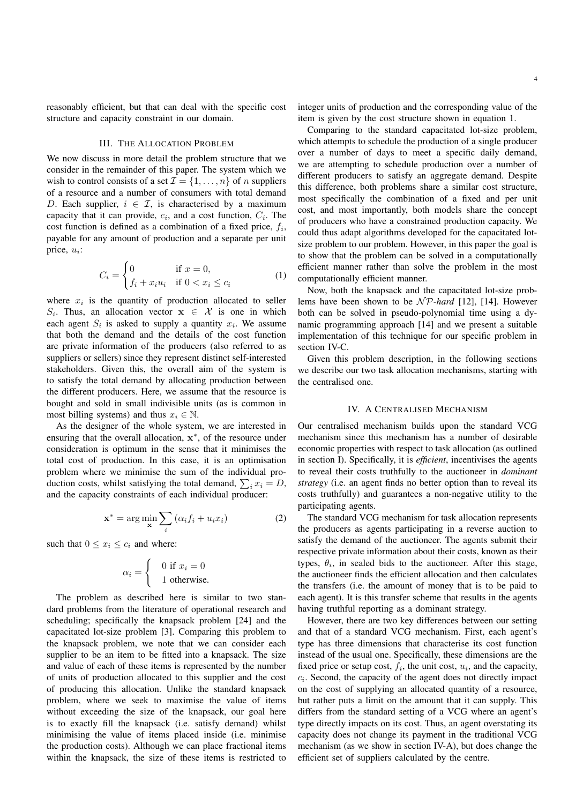reasonably efficient, but that can deal with the specific cost structure and capacity constraint in our domain.

#### III. THE ALLOCATION PROBLEM

We now discuss in more detail the problem structure that we consider in the remainder of this paper. The system which we wish to control consists of a set  $\mathcal{I} = \{1, \ldots, n\}$  of n suppliers of a resource and a number of consumers with total demand D. Each supplier,  $i \in \mathcal{I}$ , is characterised by a maximum capacity that it can provide,  $c_i$ , and a cost function,  $C_i$ . The cost function is defined as a combination of a fixed price,  $f_i$ , payable for any amount of production and a separate per unit price,  $u_i$ :

$$
C_i = \begin{cases} 0 & \text{if } x = 0, \\ f_i + x_i u_i & \text{if } 0 < x_i \le c_i \end{cases} \tag{1}
$$

where  $x_i$  is the quantity of production allocated to seller  $S_i$ . Thus, an allocation vector  $x \in \mathcal{X}$  is one in which each agent  $S_i$  is asked to supply a quantity  $x_i$ . We assume that both the demand and the details of the cost function are private information of the producers (also referred to as suppliers or sellers) since they represent distinct self-interested stakeholders. Given this, the overall aim of the system is to satisfy the total demand by allocating production between the different producers. Here, we assume that the resource is bought and sold in small indivisible units (as is common in most billing systems) and thus  $x_i \in \mathbb{N}$ .

As the designer of the whole system, we are interested in ensuring that the overall allocation,  $x^*$ , of the resource under consideration is optimum in the sense that it minimises the total cost of production. In this case, it is an optimisation problem where we minimise the sum of the individual production costs, whilst satisfying the total demand,  $\sum_i x_i = D$ , and the capacity constraints of each individual producer:

$$
\mathbf{x}^* = \arg\min_{\mathbf{x}} \sum_{i} \left( \alpha_i f_i + u_i x_i \right) \tag{2}
$$

such that  $0 \leq x_i \leq c_i$  and where:

$$
\alpha_i = \begin{cases} 0 \text{ if } x_i = 0 \\ 1 \text{ otherwise.} \end{cases}
$$

The problem as described here is similar to two standard problems from the literature of operational research and scheduling; specifically the knapsack problem [24] and the capacitated lot-size problem [3]. Comparing this problem to the knapsack problem, we note that we can consider each supplier to be an item to be fitted into a knapsack. The size and value of each of these items is represented by the number of units of production allocated to this supplier and the cost of producing this allocation. Unlike the standard knapsack problem, where we seek to maximise the value of items without exceeding the size of the knapsack, our goal here is to exactly fill the knapsack (i.e. satisfy demand) whilst minimising the value of items placed inside (i.e. minimise the production costs). Although we can place fractional items within the knapsack, the size of these items is restricted to

integer units of production and the corresponding value of the item is given by the cost structure shown in equation 1.

Comparing to the standard capacitated lot-size problem, which attempts to schedule the production of a single producer over a number of days to meet a specific daily demand, we are attempting to schedule production over a number of different producers to satisfy an aggregate demand. Despite this difference, both problems share a similar cost structure, most specifically the combination of a fixed and per unit cost, and most importantly, both models share the concept of producers who have a constrained production capacity. We could thus adapt algorithms developed for the capacitated lotsize problem to our problem. However, in this paper the goal is to show that the problem can be solved in a computationally efficient manner rather than solve the problem in the most computationally efficient manner.

Now, both the knapsack and the capacitated lot-size problems have been shown to be  $N\mathcal{P}$ -hard [12], [14]. However both can be solved in pseudo-polynomial time using a dynamic programming approach [14] and we present a suitable implementation of this technique for our specific problem in section IV-C.

Given this problem description, in the following sections we describe our two task allocation mechanisms, starting with the centralised one.

#### IV. A CENTRALISED MECHANISM

Our centralised mechanism builds upon the standard VCG mechanism since this mechanism has a number of desirable economic properties with respect to task allocation (as outlined in section I). Specifically, it is *efficient*, incentivises the agents to reveal their costs truthfully to the auctioneer in *dominant strategy* (i.e. an agent finds no better option than to reveal its costs truthfully) and guarantees a non-negative utility to the participating agents.

The standard VCG mechanism for task allocation represents the producers as agents participating in a reverse auction to satisfy the demand of the auctioneer. The agents submit their respective private information about their costs, known as their types,  $\theta_i$ , in sealed bids to the auctioneer. After this stage, the auctioneer finds the efficient allocation and then calculates the transfers (i.e. the amount of money that is to be paid to each agent). It is this transfer scheme that results in the agents having truthful reporting as a dominant strategy.

However, there are two key differences between our setting and that of a standard VCG mechanism. First, each agent's type has three dimensions that characterise its cost function instead of the usual one. Specifically, these dimensions are the fixed price or setup cost,  $f_i$ , the unit cost,  $u_i$ , and the capacity,  $c_i$ . Second, the capacity of the agent does not directly impact on the cost of supplying an allocated quantity of a resource, but rather puts a limit on the amount that it can supply. This differs from the standard setting of a VCG where an agent's type directly impacts on its cost. Thus, an agent overstating its capacity does not change its payment in the traditional VCG mechanism (as we show in section IV-A), but does change the efficient set of suppliers calculated by the centre.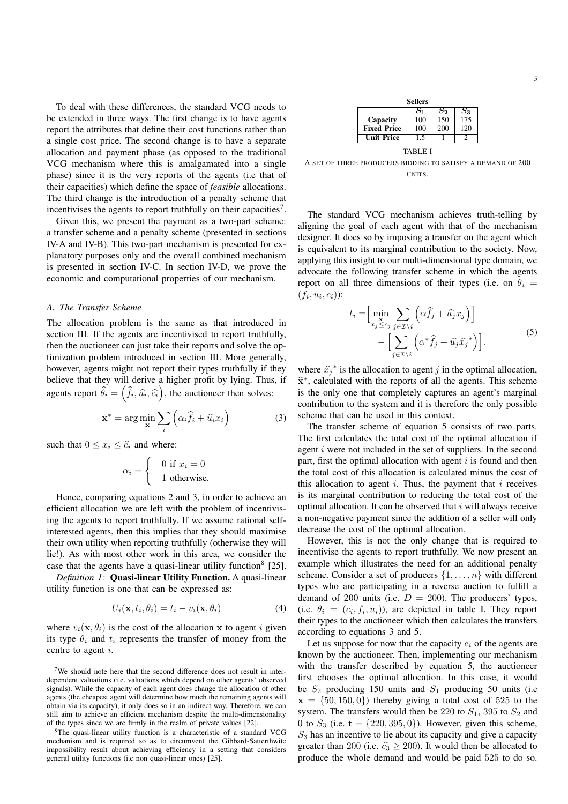To deal with these differences, the standard VCG needs to be extended in three ways. The first change is to have agents report the attributes that define their cost functions rather than a single cost price. The second change is to have a separate allocation and payment phase (as opposed to the traditional VCG mechanism where this is amalgamated into a single phase) since it is the very reports of the agents (i.e that of their capacities) which define the space of *feasible* allocations. The third change is the introduction of a penalty scheme that incentivises the agents to report truthfully on their capacities<sup>7</sup>.

Given this, we present the payment as a two-part scheme: a transfer scheme and a penalty scheme (presented in sections IV-A and IV-B). This two-part mechanism is presented for explanatory purposes only and the overall combined mechanism is presented in section IV-C. In section IV-D, we prove the economic and computational properties of our mechanism.

# *A. The Transfer Scheme*

The allocation problem is the same as that introduced in section III. If the agents are incentivised to report truthfully, then the auctioneer can just take their reports and solve the optimization problem introduced in section III. More generally, however, agents might not report their types truthfully if they believe that they will derive a higher profit by lying. Thus, if agents report  $\hat{\theta}_i = (\hat{f}_i, \hat{u}_i, \hat{c}_i)$ , the auctioneer then solves:

$$
\mathbf{x}^* = \arg\min_{\mathbf{x}} \sum_{i} \left( \alpha_i \hat{f}_i + \hat{u}_i x_i \right) \tag{3}
$$

such that  $0 \leq x_i \leq \widehat{c}_i$  and where:

$$
\alpha_i = \begin{cases} 0 \text{ if } x_i = 0 \\ 1 \text{ otherwise.} \end{cases}
$$

Hence, comparing equations 2 and 3, in order to achieve an efficient allocation we are left with the problem of incentivising the agents to report truthfully. If we assume rational selfinterested agents, then this implies that they should maximise their own utility when reporting truthfully (otherwise they will lie!). As with most other work in this area, we consider the case that the agents have a quasi-linear utility function<sup>8</sup> [25].

*Definition 1:* **Quasi-linear Utility Function.** A quasi-linear utility function is one that can be expressed as:

$$
U_i(\mathbf{x}, t_i, \theta_i) = t_i - v_i(\mathbf{x}, \theta_i)
$$
\n(4)

where  $v_i(\mathbf{x}, \theta_i)$  is the cost of the allocation x to agent i given its type  $\theta_i$  and  $t_i$  represents the transfer of money from the centre to agent i.

<sup>8</sup>The quasi-linear utility function is a characteristic of a standard VCG mechanism and is required so as to circumvent the Gibbard-Satterthwite impossibility result about achieving efficiency in a setting that considers general utility functions (i.e non quasi-linear ones) [25].

| <b>Sellers</b>     |       |       |       |  |
|--------------------|-------|-------|-------|--|
|                    | $S_1$ | $S_2$ | $S_3$ |  |
| Capacity           | 100   | 150   | 175   |  |
| <b>Fixed Price</b> | 100   | 200   | 120   |  |
| <b>Unit Price</b>  |       |       |       |  |
|                    |       |       |       |  |

TABLE I A SET OF THREE PRODUCERS BIDDING TO SATISFY A DEMAND OF 200 UNITS.

The standard VCG mechanism achieves truth-telling by aligning the goal of each agent with that of the mechanism designer. It does so by imposing a transfer on the agent which is equivalent to its marginal contribution to the society. Now, applying this insight to our multi-dimensional type domain, we advocate the following transfer scheme in which the agents report on all three dimensions of their types (i.e. on  $\theta_i$  =  $(f_i, u_i, c_i)$ :

$$
t_i = \left[\min_{x_j \le c_j} \sum_{j \in \mathcal{I} \setminus i} \left( \alpha \hat{f}_j + \hat{u}_j x_j \right) \right] - \left[ \sum_{j \in \mathcal{I} \setminus i} \left( \alpha^* \hat{f}_j + \hat{u}_j \hat{x}_j^* \right) \right].
$$
 (5)

where  $\hat{x}_j^*$  is the allocation to agent j in the optimal allocation,  $\hat{\mathbf{x}}^*$ , calculated with the reports of all the agents. This scheme is the only one that completely captures an agent's marginal contribution to the system and it is therefore the only possible scheme that can be used in this context.

The transfer scheme of equation 5 consists of two parts. The first calculates the total cost of the optimal allocation if agent  $i$  were not included in the set of suppliers. In the second part, first the optimal allocation with agent  $i$  is found and then the total cost of this allocation is calculated minus the cost of this allocation to agent  $i$ . Thus, the payment that  $i$  receives is its marginal contribution to reducing the total cost of the optimal allocation. It can be observed that  $i$  will always receive a non-negative payment since the addition of a seller will only decrease the cost of the optimal allocation.

However, this is not the only change that is required to incentivise the agents to report truthfully. We now present an example which illustrates the need for an additional penalty scheme. Consider a set of producers  $\{1, \ldots, n\}$  with different types who are participating in a reverse auction to fulfill a demand of 200 units (i.e.  $D = 200$ ). The producers' types, (i.e.  $\theta_i = (c_i, f_i, u_i)$ ), are depicted in table I. They report their types to the auctioneer which then calculates the transfers according to equations 3 and 5.

Let us suppose for now that the capacity  $c_i$  of the agents are known by the auctioneer. Then, implementing our mechanism with the transfer described by equation 5, the auctioneer first chooses the optimal allocation. In this case, it would be  $S_2$  producing 150 units and  $S_1$  producing 50 units (i.e.  $\mathbf{x} = \{50, 150, 0\}$  thereby giving a total cost of 525 to the system. The transfers would then be 220 to  $S_1$ , 395 to  $S_2$  and 0 to  $S_3$  (i.e.  $\mathbf{t} = \{220, 395, 0\}$ ). However, given this scheme,  $S_3$  has an incentive to lie about its capacity and give a capacity greater than 200 (i.e.  $\hat{c}_3 \geq 200$ ). It would then be allocated to produce the whole demand and would be paid 525 to do so.

<sup>7</sup>We should note here that the second difference does not result in interdependent valuations (i.e. valuations which depend on other agents' observed signals). While the capacity of each agent does change the allocation of other agents (the cheapest agent will determine how much the remaining agents will obtain via its capacity), it only does so in an indirect way. Therefore, we can still aim to achieve an efficient mechanism despite the multi-dimensionality of the types since we are firmly in the realm of private values [22].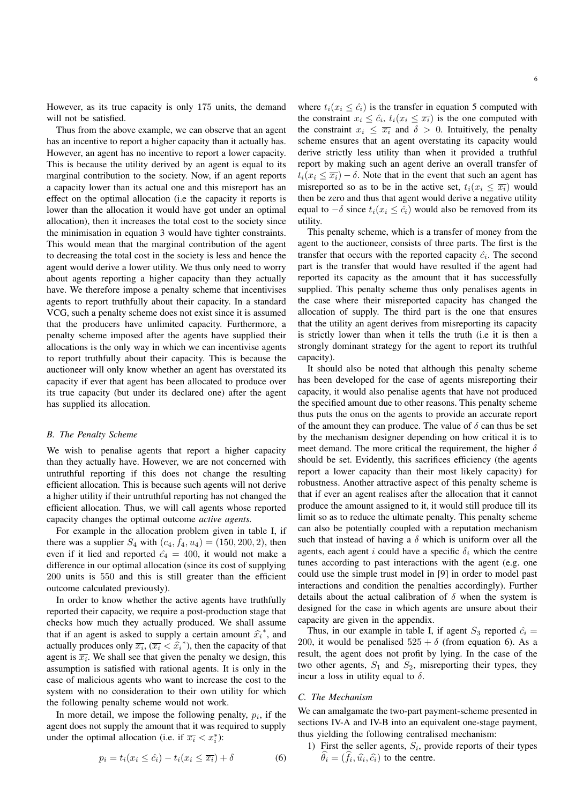However, as its true capacity is only 175 units, the demand will not be satisfied.

Thus from the above example, we can observe that an agent has an incentive to report a higher capacity than it actually has. However, an agent has no incentive to report a lower capacity. This is because the utility derived by an agent is equal to its marginal contribution to the society. Now, if an agent reports a capacity lower than its actual one and this misreport has an effect on the optimal allocation (i.e the capacity it reports is lower than the allocation it would have got under an optimal allocation), then it increases the total cost to the society since the minimisation in equation 3 would have tighter constraints. This would mean that the marginal contribution of the agent to decreasing the total cost in the society is less and hence the agent would derive a lower utility. We thus only need to worry about agents reporting a higher capacity than they actually have. We therefore impose a penalty scheme that incentivises agents to report truthfully about their capacity. In a standard VCG, such a penalty scheme does not exist since it is assumed that the producers have unlimited capacity. Furthermore, a penalty scheme imposed after the agents have supplied their allocations is the only way in which we can incentivise agents to report truthfully about their capacity. This is because the auctioneer will only know whether an agent has overstated its capacity if ever that agent has been allocated to produce over its true capacity (but under its declared one) after the agent has supplied its allocation.

## *B. The Penalty Scheme*

We wish to penalise agents that report a higher capacity than they actually have. However, we are not concerned with untruthful reporting if this does not change the resulting efficient allocation. This is because such agents will not derive a higher utility if their untruthful reporting has not changed the efficient allocation. Thus, we will call agents whose reported capacity changes the optimal outcome *active agents.*

For example in the allocation problem given in table I, if there was a supplier  $S_4$  with  $(c_4, f_4, u_4) = (150, 200, 2)$ , then even if it lied and reported  $\hat{c}_4 = 400$ , it would not make a difference in our optimal allocation (since its cost of supplying 200 units is 550 and this is still greater than the efficient outcome calculated previously).

In order to know whether the active agents have truthfully reported their capacity, we require a post-production stage that checks how much they actually produced. We shall assume that if an agent is asked to supply a certain amount  $\hat{x}_i^*$ , and actually produces only  $\overline{x_i}, (\overline{x_i} \leq \hat{x_i}^*)$ , then the capacity of that agent is  $\overline{x_i}$ . We shall see that given the penalty we design, this assumption is satisfied with rational agents. It is only in the case of malicious agents who want to increase the cost to the system with no consideration to their own utility for which the following penalty scheme would not work.

In more detail, we impose the following penalty,  $p_i$ , if the agent does not supply the amount that it was required to supply under the optimal allocation (i.e. if  $\overline{x_i} < x_i^*$ ):

$$
p_i = t_i (x_i \le \hat{c}_i) - t_i (x_i \le \overline{x_i}) + \delta \tag{6}
$$

where  $t_i(x_i \leq \hat{c}_i)$  is the transfer in equation 5 computed with the constraint  $x_i \leq \hat{c}_i$ ,  $t_i(x_i \leq \overline{x_i})$  is the one computed with the constraint  $x_i \leq \overline{x_i}$  and  $\delta > 0$ . Intuitively, the penalty scheme ensures that an agent overstating its capacity would derive strictly less utility than when it provided a truthful report by making such an agent derive an overall transfer of  $t_i(x_i \leq \overline{x_i}) - \delta$ . Note that in the event that such an agent has misreported so as to be in the active set,  $t_i(x_i \leq \overline{x_i})$  would then be zero and thus that agent would derive a negative utility equal to  $-\delta$  since  $t_i(x_i \leq \hat{c}_i)$  would also be removed from its utility.

This penalty scheme, which is a transfer of money from the agent to the auctioneer, consists of three parts. The first is the transfer that occurs with the reported capacity  $\hat{c}_i$ . The second part is the transfer that would have resulted if the agent had reported its capacity as the amount that it has successfully supplied. This penalty scheme thus only penalises agents in the case where their misreported capacity has changed the allocation of supply. The third part is the one that ensures that the utility an agent derives from misreporting its capacity is strictly lower than when it tells the truth (i.e it is then a strongly dominant strategy for the agent to report its truthful capacity).

It should also be noted that although this penalty scheme has been developed for the case of agents misreporting their capacity, it would also penalise agents that have not produced the specified amount due to other reasons. This penalty scheme thus puts the onus on the agents to provide an accurate report of the amount they can produce. The value of  $\delta$  can thus be set by the mechanism designer depending on how critical it is to meet demand. The more critical the requirement, the higher  $\delta$ should be set. Evidently, this sacrifices efficiency (the agents report a lower capacity than their most likely capacity) for robustness. Another attractive aspect of this penalty scheme is that if ever an agent realises after the allocation that it cannot produce the amount assigned to it, it would still produce till its limit so as to reduce the ultimate penalty. This penalty scheme can also be potentially coupled with a reputation mechanism such that instead of having a  $\delta$  which is uniform over all the agents, each agent i could have a specific  $\delta_i$  which the centre tunes according to past interactions with the agent (e.g. one could use the simple trust model in [9] in order to model past interactions and condition the penalties accordingly). Further details about the actual calibration of  $\delta$  when the system is designed for the case in which agents are unsure about their capacity are given in the appendix.

Thus, in our example in table I, if agent  $S_3$  reported  $\hat{c}_i$  = 200, it would be penalised  $525 + \delta$  (from equation 6). As a result, the agent does not profit by lying. In the case of the two other agents,  $S_1$  and  $S_2$ , misreporting their types, they incur a loss in utility equal to  $\delta$ .

#### *C. The Mechanism*

We can amalgamate the two-part payment-scheme presented in sections IV-A and IV-B into an equivalent one-stage payment, thus yielding the following centralised mechanism:

1) First the seller agents,  $S_i$ , provide reports of their types  $\theta_i = (f_i, \hat{u}_i, \hat{c}_i)$  to the centre.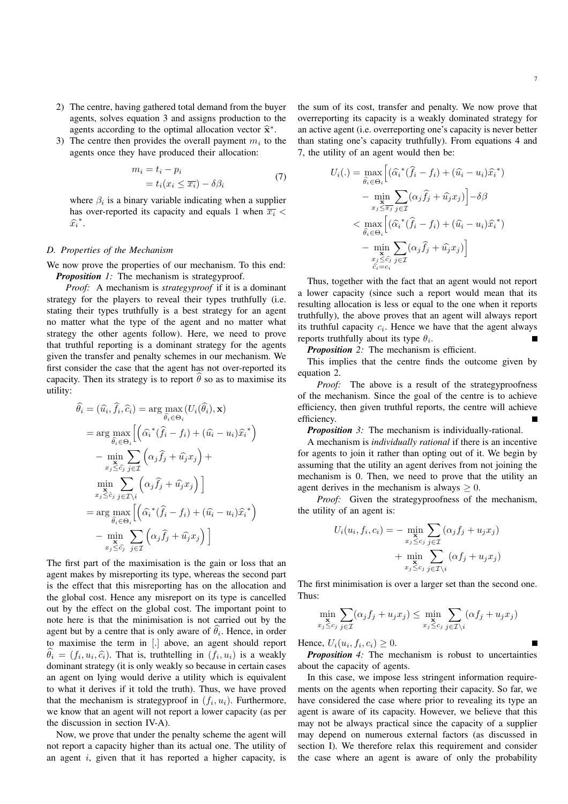- 2) The centre, having gathered total demand from the buyer agents, solves equation 3 and assigns production to the agents according to the optimal allocation vector  $\hat{\mathbf{x}}^*$ .
- 3) The centre then provides the overall payment  $m_i$  to the agents once they have produced their allocation:

$$
m_i = t_i - p_i
$$
  
=  $t_i(x_i \le \overline{x_i}) - \delta\beta_i$  (7)

where  $\beta_i$  is a binary variable indicating when a supplier has over-reported its capacity and equals 1 when  $\overline{x_i}$  <  $\widehat{x_i}^*$ .

# *D. Properties of the Mechanism*

We now prove the properties of our mechanism. To this end: *Proposition 1:* The mechanism is strategyproof.

*Proof:* A mechanism is *strategyproof* if it is a dominant strategy for the players to reveal their types truthfully (i.e. stating their types truthfully is a best strategy for an agent no matter what the type of the agent and no matter what strategy the other agents follow). Here, we need to prove that truthful reporting is a dominant strategy for the agents given the transfer and penalty schemes in our mechanism. We first consider the case that the agent has not over-reported its capacity. Then its strategy is to report  $\hat{\theta}$  so as to maximise its utility:

$$
\begin{aligned}\n\widehat{\theta}_{i} &= (\widehat{u}_{i}, \widehat{f}_{i}, \widehat{c}_{i}) = \arg \max_{\widehat{\theta}_{i} \in \Theta_{i}} (U_{i}(\widehat{\theta}_{i}), \mathbf{x}) \\
&= \arg \max_{\widehat{\theta}_{i} \in \Theta_{i}} \left[ \left( \widehat{\alpha}_{i}^{*}(\widehat{f}_{i} - f_{i}) + (\widehat{u}_{i} - u_{i}) \widehat{x}_{i}^{*} \right) \right. \\
&\quad - \min_{x_{j} \leq \widehat{c}_{j}} \sum_{j \in \mathcal{I}} \left( \alpha_{j} \widehat{f}_{j} + \widehat{u}_{j} x_{j} \right) + \\
&\min_{x_{j} \leq \widehat{c}_{j}} \sum_{j \in \mathcal{I} \setminus i} \left( \alpha_{j} \widehat{f}_{j} + \widehat{u}_{j} x_{j} \right) \right] \\
&= \arg \max_{\widehat{\theta}_{i} \in \Theta_{i}} \left[ \left( \widehat{\alpha}_{i}^{*}(\widehat{f}_{i} - f_{i}) + (\widehat{u}_{i} - u_{i}) \widehat{x}_{i}^{*} \right) \right. \\
&\quad - \min_{x_{j} \leq \widehat{c}_{j}} \sum_{j \in \mathcal{I}} \left( \alpha_{j} \widehat{f}_{j} + \widehat{u}_{j} x_{j} \right) \right]\n\end{aligned}
$$

The first part of the maximisation is the gain or loss that an agent makes by misreporting its type, whereas the second part is the effect that this misreporting has on the allocation and the global cost. Hence any misreport on its type is cancelled out by the effect on the global cost. The important point to note here is that the minimisation is not carried out by the agent but by a centre that is only aware of  $\theta_i$ . Hence, in order to maximise the term in [.] above, an agent should report  $\theta_i = (f_i, u_i, \hat{c}_i)$ . That is, truthtelling in  $(f_i, u_i)$  is a weakly dominant strategy (it is only weakly so because in certain cases an agent on lying would derive a utility which is equivalent to what it derives if it told the truth). Thus, we have proved that the mechanism is strategyproof in  $(f_i, u_i)$ . Furthermore, we know that an agent will not report a lower capacity (as per the discussion in section IV-A).

Now, we prove that under the penalty scheme the agent will not report a capacity higher than its actual one. The utility of an agent  $i$ , given that it has reported a higher capacity, is

the sum of its cost, transfer and penalty. We now prove that overreporting its capacity is a weakly dominated strategy for an active agent (i.e. overreporting one's capacity is never better than stating one's capacity truthfully). From equations 4 and 7, the utility of an agent would then be:

$$
U_i(.) = \max_{\hat{\theta}_i \in \Theta_i} \left[ (\hat{\alpha}_i^* (\hat{f}_i - f_i) + (\hat{u}_i - u_i) \hat{x}_i^*) - \min_{\substack{\mathbf{x} \le \overline{\mathbf{x}}_j \\ x_j \le \overline{\mathbf{x}}_j}} \sum_{j \in \mathcal{I}} (\alpha_j \hat{f}_j + \hat{u}_j x_j) \right] - \delta \beta
$$
  

$$
< \max_{\hat{\theta}_i \in \Theta_i} \left[ (\hat{\alpha}_i^* (\hat{f}_i - f_i) + (\hat{u}_i - u_i) \hat{x}_i^*) - \min_{\substack{\mathbf{x} \\ x_j \le \hat{c}_j \\ \hat{c}_i = c_i}} \sum_{j \in \mathcal{I}} (\alpha_j \hat{f}_j + \hat{u}_j x_j) \right]
$$

Thus, together with the fact that an agent would not report a lower capacity (since such a report would mean that its resulting allocation is less or equal to the one when it reports truthfully), the above proves that an agent will always report its truthful capacity  $c_i$ . Hence we have that the agent always reports truthfully about its type  $\theta_i$ .

*Proposition 2:* The mechanism is efficient.

This implies that the centre finds the outcome given by equation 2.

*Proof:* The above is a result of the strategyproofness of the mechanism. Since the goal of the centre is to achieve efficiency, then given truthful reports, the centre will achieve efficiency.

*Proposition 3:* The mechanism is individually-rational.

A mechanism is *individually rational* if there is an incentive for agents to join it rather than opting out of it. We begin by assuming that the utility an agent derives from not joining the mechanism is 0. Then, we need to prove that the utility an agent derives in the mechanism is always  $\geq 0$ .

Proof: Given the strategyproofness of the mechanism, the utility of an agent is:

$$
U_i(u_i, f_i, c_i) = -\min_{\substack{x_j \le c_j \ j \in \mathcal{I}}} \sum_{j \in \mathcal{I}} (\alpha_j f_j + u_j x_j)
$$

$$
+ \min_{\substack{x_j \le c_j \ j \in \mathcal{I} \setminus i}} (\alpha f_j + u_j x_j)
$$

The first minimisation is over a larger set than the second one. Thus:

$$
\min_{\mathbf{x}_j \leq c_j} \sum_{j \in \mathcal{I}} (\alpha_j f_j + u_j x_j) \leq \min_{\mathbf{x}_j \leq c_j} \sum_{j \in \mathcal{I} \setminus i} (\alpha f_j + u_j x_j)
$$

Hence,  $U_i(u_i, f_i, c_i) \geq 0$ .

*Proposition 4:* The mechanism is robust to uncertainties about the capacity of agents.

In this case, we impose less stringent information requirements on the agents when reporting their capacity. So far, we have considered the case where prior to revealing its type an agent is aware of its capacity. However, we believe that this may not be always practical since the capacity of a supplier may depend on numerous external factors (as discussed in section I). We therefore relax this requirement and consider the case where an agent is aware of only the probability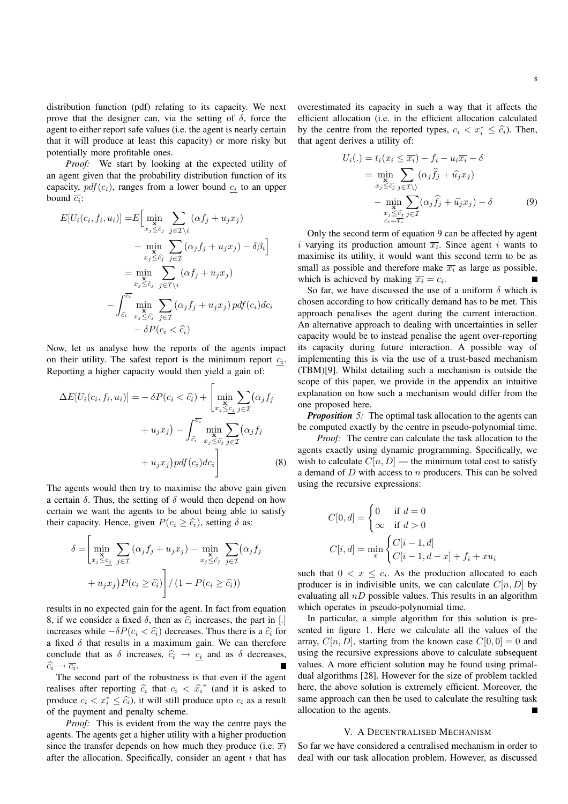8

distribution function (pdf) relating to its capacity. We next prove that the designer can, via the setting of  $\delta$ , force the agent to either report safe values (i.e. the agent is nearly certain that it will produce at least this capacity) or more risky but potentially more profitable ones.

*Proof:* We start by looking at the expected utility of an agent given that the probability distribution function of its capacity,  $pdf(c_i)$ , ranges from a lower bound  $c_i$  to an upper bound  $\overline{c_i}$ :

$$
E[U_i(c_i, f_i, u_i)] = E\left[\min_{\substack{x \\ x_j \leq \hat{c}_j}} \sum_{j \in \mathcal{I}\setminus i} (\alpha f_j + u_j x_j) - \min_{\substack{x \\ x_j \leq \hat{c}_j}} \sum_{j \in \mathcal{I}} (\alpha_j f_j + u_j x_j) - \delta \beta_i\right]
$$

$$
= \min_{\substack{x \\ x_j \leq \hat{c}_j}} \sum_{j \in \mathcal{I}\setminus i} (\alpha f_j + u_j x_j)
$$

$$
- \int_{\widehat{c}_i}^{\overline{c_i}} \min_{\substack{x_j \leq \hat{c}_j \\ x_j \leq \hat{c}_j}} \sum_{j \in \mathcal{I}} (\alpha_j f_j + u_j x_j) p \, d f(c_i) \, d c_i
$$

$$
- \delta P(c_i < \widehat{c}_i)
$$

Now, let us analyse how the reports of the agents impact on their utility. The safest report is the minimum report  $c_i$ . Reporting a higher capacity would then yield a gain of:

$$
\Delta E[U_i(c_i, f_i, u_i)] = -\delta P(c_i < \widehat{c}_i) + \left[\min_{x_j \leq \underline{c}_j} \sum_{j \in \mathcal{I}} (\alpha_j f_j + u_j x_j) - \int_{\widehat{c}_i}^{\overline{c}_i} \min_{x_j \leq \widehat{c}_j} \sum_{j \in \mathcal{I}} (\alpha_j f_j + u_j x_j) p df(c_i) dc_i\right]
$$
\n
$$
(8)
$$

The agents would then try to maximise the above gain given a certain  $\delta$ . Thus, the setting of  $\delta$  would then depend on how certain we want the agents to be about being able to satisfy their capacity. Hence, given  $P(c_i \geq \widehat{c_i})$ , setting  $\delta$  as:

$$
\delta = \left[ \min_{\substack{\mathbf{x}, \leq c_j \\ x_j \leq c_j}} \sum_{j \in \mathcal{I}} (\alpha_j f_j + u_j x_j) - \min_{\substack{\mathbf{x}, \leq \widehat{c}_j \\ x_j \leq \widehat{c}_j}} \sum_{j \in \mathcal{I}} (\alpha_j f_j + u_j x_j) P(c_i \geq \widehat{c}_i) \right]
$$

results in no expected gain for the agent. In fact from equation 8, if we consider a fixed  $\delta$ , then as  $\hat{c}_i$  increases, the part in [.] increases while  $-\delta P(c_i < \hat{c}_i)$  decreases. Thus there is a  $\hat{c}_i$  for a fixed  $\delta$  that results in a maximum gain. We can therefore conclude that as  $\delta$  increases,  $\hat{c}_i \rightarrow c_i$  and as  $\delta$  decreases,  $\widehat{c_i} \to \overline{c_i}.$ 

The second part of the robustness is that even if the agent realises after reporting  $\hat{c}_i$  that  $c_i < \hat{x}_i^*$  (and it is asked to produce  $c_i < x_i^* \leq \hat{c}_i$ , it will still produce upto  $c_i$  as a result of the payment and penalty scheme.

*Proof:* This is evident from the way the centre pays the agents. The agents get a higher utility with a higher production since the transfer depends on how much they produce (i.e.  $\overline{x}$ ) after the allocation. Specifically, consider an agent  $i$  that has overestimated its capacity in such a way that it affects the efficient allocation (i.e. in the efficient allocation calculated by the centre from the reported types,  $c_i < x_i^* \leq \hat{c}_i$ ). Then, that agent derives a utility of:

$$
U_i(.) = t_i(x_i \le \overline{x_i}) - f_i - u_i \overline{x_i} - \delta
$$
  
= 
$$
\min_{\substack{x \to \infty \\ x_j \le \widehat{c}_j}} \sum_{j \in \mathcal{I} \setminus} (\alpha_j \widehat{f}_j + \widehat{u}_j x_j)
$$
  
- 
$$
\min_{\substack{x \to \infty \\ x_j \le \widehat{c}_j}} \sum_{j \in \mathcal{I}} (\alpha_j \widehat{f}_j + \widehat{u}_j x_j) - \delta
$$
(9)

Only the second term of equation 9 can be affected by agent i varying its production amount  $\overline{x_i}$ . Since agent i wants to maximise its utility, it would want this second term to be as small as possible and therefore make  $\overline{x_i}$  as large as possible, which is achieved by making  $\overline{x_i} = c_i$ .

So far, we have discussed the use of a uniform  $\delta$  which is chosen according to how critically demand has to be met. This approach penalises the agent during the current interaction. An alternative approach to dealing with uncertainties in seller capacity would be to instead penalise the agent over-reporting its capacity during future interaction. A possible way of implementing this is via the use of a trust-based mechanism (TBM)[9]. Whilst detailing such a mechanism is outside the scope of this paper, we provide in the appendix an intuitive explanation on how such a mechanism would differ from the one proposed here.

*Proposition* 5: The optimal task allocation to the agents can be computed exactly by the centre in pseudo-polynomial time.

*Proof:* The centre can calculate the task allocation to the agents exactly using dynamic programming. Specifically, we wish to calculate  $C[n, D]$  — the minimum total cost to satisfy a demand of  $D$  with access to  $n$  producers. This can be solved using the recursive expressions:

$$
C[0,d] = \begin{cases} 0 & \text{if } d = 0\\ \infty & \text{if } d > 0 \end{cases}
$$

$$
C[i,d] = \min_x \begin{cases} C[i-1,d] \\ C[i-1,d-x] + f_i + xu_i \end{cases}
$$

such that  $0 < x \leq c_i$ . As the production allocated to each producer is in indivisible units, we can calculate  $C[n, D]$  by evaluating all  $nD$  possible values. This results in an algorithm which operates in pseudo-polynomial time.

In particular, a simple algorithm for this solution is presented in figure 1. Here we calculate all the values of the array,  $C[n, D]$ , starting from the known case  $C[0, 0] = 0$  and using the recursive expressions above to calculate subsequent values. A more efficient solution may be found using primaldual algorithms [28]. However for the size of problem tackled here, the above solution is extremely efficient. Moreover, the same approach can then be used to calculate the resulting task allocation to the agents.  $\blacksquare$ 

#### V. A DECENTRALISED MECHANISM

So far we have considered a centralised mechanism in order to deal with our task allocation problem. However, as discussed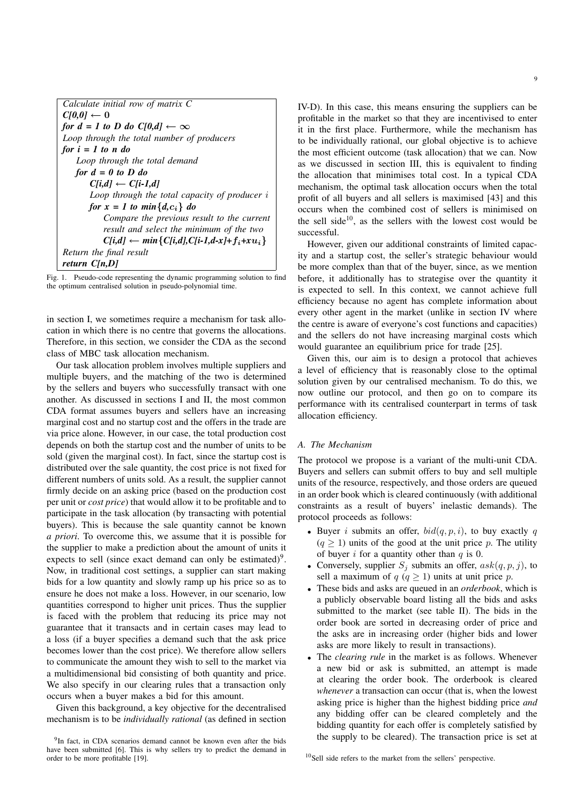| Calculate initial row of matrix C                          |
|------------------------------------------------------------|
| $CI0.01 \leftarrow 0$                                      |
| for $d = 1$ to D do $C[0,d] \leftarrow \infty$             |
| Loop through the total number of producers                 |
| for $i = 1$ to n do                                        |
| Loop through the total demand                              |
| for $d = 0$ to D do                                        |
| $Cli, dl \leftarrow Cli-1, dl$                             |
| Loop through the total capacity of producer i              |
| for $x = 1$ to min $\{d, c_i\}$ do                         |
| Compare the previous result to the current                 |
| result and select the minimum of the two                   |
| $C[i,d] \leftarrow min\{C[i,d], C[i-1,d-x] + f_i + xu_i\}$ |
| Return the final result                                    |
| return C[n,D]                                              |



in section I, we sometimes require a mechanism for task allocation in which there is no centre that governs the allocations. Therefore, in this section, we consider the CDA as the second class of MBC task allocation mechanism.

Our task allocation problem involves multiple suppliers and multiple buyers, and the matching of the two is determined by the sellers and buyers who successfully transact with one another. As discussed in sections I and II, the most common CDA format assumes buyers and sellers have an increasing marginal cost and no startup cost and the offers in the trade are via price alone. However, in our case, the total production cost depends on both the startup cost and the number of units to be sold (given the marginal cost). In fact, since the startup cost is distributed over the sale quantity, the cost price is not fixed for different numbers of units sold. As a result, the supplier cannot firmly decide on an asking price (based on the production cost per unit or *cost price*) that would allow it to be profitable and to participate in the task allocation (by transacting with potential buyers). This is because the sale quantity cannot be known *a priori*. To overcome this, we assume that it is possible for the supplier to make a prediction about the amount of units it expects to sell (since exact demand can only be estimated) $9$ . Now, in traditional cost settings, a supplier can start making bids for a low quantity and slowly ramp up his price so as to ensure he does not make a loss. However, in our scenario, low quantities correspond to higher unit prices. Thus the supplier is faced with the problem that reducing its price may not guarantee that it transacts and in certain cases may lead to a loss (if a buyer specifies a demand such that the ask price becomes lower than the cost price). We therefore allow sellers to communicate the amount they wish to sell to the market via a multidimensional bid consisting of both quantity and price. We also specify in our clearing rules that a transaction only occurs when a buyer makes a bid for this amount.

Given this background, a key objective for the decentralised mechanism is to be *individually rational* (as defined in section IV-D). In this case, this means ensuring the suppliers can be profitable in the market so that they are incentivised to enter it in the first place. Furthermore, while the mechanism has to be individually rational, our global objective is to achieve the most efficient outcome (task allocation) that we can. Now as we discussed in section III, this is equivalent to finding the allocation that minimises total cost. In a typical CDA mechanism, the optimal task allocation occurs when the total profit of all buyers and all sellers is maximised [43] and this occurs when the combined cost of sellers is minimised on the sell side<sup>10</sup>, as the sellers with the lowest cost would be successful.

However, given our additional constraints of limited capacity and a startup cost, the seller's strategic behaviour would be more complex than that of the buyer, since, as we mention before, it additionally has to strategise over the quantity it is expected to sell. In this context, we cannot achieve full efficiency because no agent has complete information about every other agent in the market (unlike in section IV where the centre is aware of everyone's cost functions and capacities) and the sellers do not have increasing marginal costs which would guarantee an equilibrium price for trade [25].

Given this, our aim is to design a protocol that achieves a level of efficiency that is reasonably close to the optimal solution given by our centralised mechanism. To do this, we now outline our protocol, and then go on to compare its performance with its centralised counterpart in terms of task allocation efficiency.

# *A. The Mechanism*

The protocol we propose is a variant of the multi-unit CDA. Buyers and sellers can submit offers to buy and sell multiple units of the resource, respectively, and those orders are queued in an order book which is cleared continuously (with additional constraints as a result of buyers' inelastic demands). The protocol proceeds as follows:

- Buyer *i* submits an offer,  $bid(q, p, i)$ , to buy exactly q  $(q \ge 1)$  units of the good at the unit price p. The utility of buyer i for a quantity other than  $q$  is 0.
- Conversely, supplier  $S_j$  submits an offer,  $ask(q, p, j)$ , to sell a maximum of  $q$  ( $q \ge 1$ ) units at unit price p.
- These bids and asks are queued in an *orderbook*, which is a publicly observable board listing all the bids and asks submitted to the market (see table II). The bids in the order book are sorted in decreasing order of price and the asks are in increasing order (higher bids and lower asks are more likely to result in transactions).
- The *clearing rule* in the market is as follows. Whenever a new bid or ask is submitted, an attempt is made at clearing the order book. The orderbook is cleared *whenever* a transaction can occur (that is, when the lowest asking price is higher than the highest bidding price *and* any bidding offer can be cleared completely and the bidding quantity for each offer is completely satisfied by the supply to be cleared). The transaction price is set at

<sup>&</sup>lt;sup>9</sup>In fact, in CDA scenarios demand cannot be known even after the bids have been submitted [6]. This is why sellers try to predict the demand in order to be more profitable [19].

<sup>&</sup>lt;sup>10</sup>Sell side refers to the market from the sellers' perspective.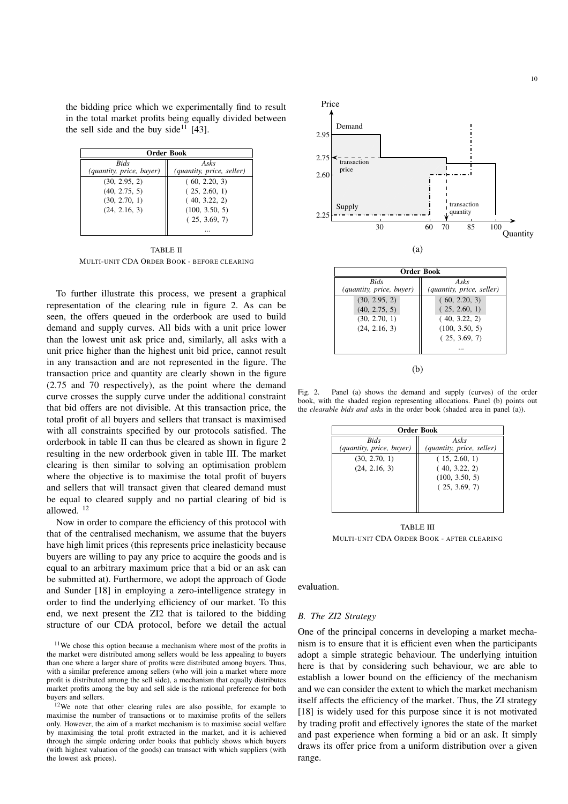the bidding price which we experimentally find to result in the total market profits being equally divided between the sell side and the buy side<sup>11</sup> [43].

| Order Book                              |                                          |  |  |
|-----------------------------------------|------------------------------------------|--|--|
| <b>Bids</b><br>(quantity, price, buyer) | <b>Asks</b><br>(quantity, price, seller) |  |  |
| (30, 2.95, 2)                           | (60, 2.20, 3)                            |  |  |
| (40, 2.75, 5)                           | (25, 2.60, 1)                            |  |  |
| (30, 2.70, 1)                           | (40, 3.22, 2)                            |  |  |
| (24, 2.16, 3)                           | (100, 3.50, 5)                           |  |  |
|                                         | (25, 3.69, 7)                            |  |  |
|                                         |                                          |  |  |

TABLE II MULTI-UNIT CDA ORDER BOOK - BEFORE CLEARING

To further illustrate this process, we present a graphical representation of the clearing rule in figure 2. As can be seen, the offers queued in the orderbook are used to build demand and supply curves. All bids with a unit price lower than the lowest unit ask price and, similarly, all asks with a unit price higher than the highest unit bid price, cannot result in any transaction and are not represented in the figure. The transaction price and quantity are clearly shown in the figure (2.75 and 70 respectively), as the point where the demand curve crosses the supply curve under the additional constraint that bid offers are not divisible. At this transaction price, the total profit of all buyers and sellers that transact is maximised with all constraints specified by our protocols satisfied. The orderbook in table II can thus be cleared as shown in figure 2 resulting in the new orderbook given in table III. The market clearing is then similar to solving an optimisation problem where the objective is to maximise the total profit of buyers and sellers that will transact given that cleared demand must be equal to cleared supply and no partial clearing of bid is allowed. <sup>12</sup>

Now in order to compare the efficiency of this protocol with that of the centralised mechanism, we assume that the buyers have high limit prices (this represents price inelasticity because buyers are willing to pay any price to acquire the goods and is equal to an arbitrary maximum price that a bid or an ask can be submitted at). Furthermore, we adopt the approach of Gode and Sunder [18] in employing a zero-intelligence strategy in order to find the underlying efficiency of our market. To this end, we next present the ZI2 that is tailored to the bidding structure of our CDA protocol, before we detail the actual

<sup>12</sup>We note that other clearing rules are also possible, for example to maximise the number of transactions or to maximise profits of the sellers only. However, the aim of a market mechanism is to maximise social welfare by maximising the total profit extracted in the market, and it is achieved through the simple ordering order books that publicly shows which buyers (with highest valuation of the goods) can transact with which suppliers (with the lowest ask prices).



| <b>Order Book</b>                                                |                                                                                    |  |  |
|------------------------------------------------------------------|------------------------------------------------------------------------------------|--|--|
| <b>Bids</b><br>(quantity, price, buyer)                          | Asks<br>(quantity, price, seller)                                                  |  |  |
| (30, 2.95, 2)<br>(40, 2.75, 5)<br>(30, 2.70, 1)<br>(24, 2.16, 3) | (60, 2.20, 3)<br>(25, 2.60, 1)<br>(40, 3.22, 2)<br>(100, 3.50, 5)<br>(25, 3.69, 7) |  |  |

(b)

Fig. 2. Panel (a) shows the demand and supply (curves) of the order book, with the shaded region representing allocations. Panel (b) points out the *clearable bids and asks* in the order book (shaded area in panel (a)).

| <b>Order Book</b>               |                           |  |  |  |
|---------------------------------|---------------------------|--|--|--|
| <b>Bids</b>                     | Asks                      |  |  |  |
| <i>(quantity, price, buyer)</i> | (quantity, price, seller) |  |  |  |
| (30, 2.70, 1)                   | (15, 2.60, 1)             |  |  |  |
| (24, 2.16, 3)                   | (40, 3.22, 2)             |  |  |  |
|                                 | (100, 3.50, 5)            |  |  |  |
|                                 | (25, 3.69, 7)             |  |  |  |
|                                 |                           |  |  |  |
|                                 |                           |  |  |  |
|                                 |                           |  |  |  |

TABLE III MULTI-UNIT CDA ORDER BOOK - AFTER CLEARING

evaluation.

## *B. The ZI2 Strategy*

One of the principal concerns in developing a market mechanism is to ensure that it is efficient even when the participants adopt a simple strategic behaviour. The underlying intuition here is that by considering such behaviour, we are able to establish a lower bound on the efficiency of the mechanism and we can consider the extent to which the market mechanism itself affects the efficiency of the market. Thus, the ZI strategy [18] is widely used for this purpose since it is not motivated by trading profit and effectively ignores the state of the market and past experience when forming a bid or an ask. It simply draws its offer price from a uniform distribution over a given range.

<sup>11</sup>We chose this option because a mechanism where most of the profits in the market were distributed among sellers would be less appealing to buyers than one where a larger share of profits were distributed among buyers. Thus, with a similar preference among sellers (who will join a market where more profit is distributed among the sell side), a mechanism that equally distributes market profits among the buy and sell side is the rational preference for both buyers and sellers.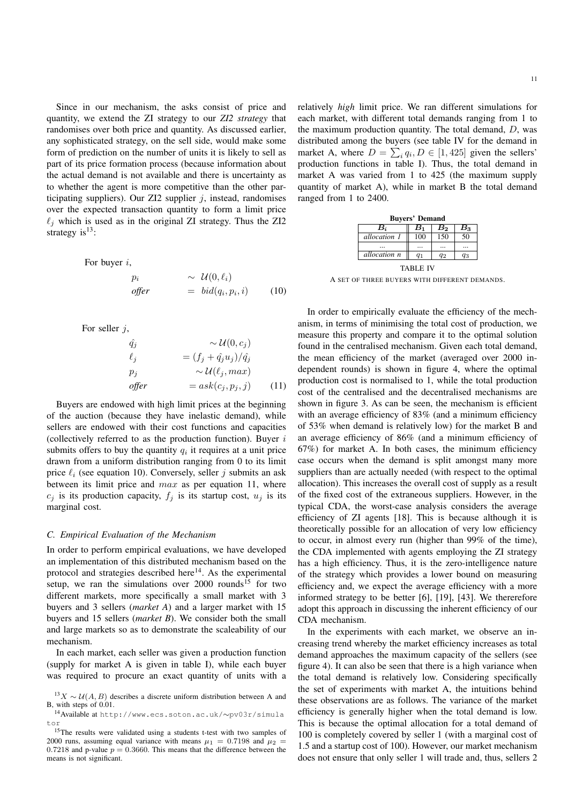Since in our mechanism, the asks consist of price and quantity, we extend the ZI strategy to our *ZI2 strategy* that randomises over both price and quantity. As discussed earlier, any sophisticated strategy, on the sell side, would make some form of prediction on the number of units it is likely to sell as part of its price formation process (because information about the actual demand is not available and there is uncertainty as to whether the agent is more competitive than the other participating suppliers). Our ZI2 supplier  $i$ , instead, randomises over the expected transaction quantity to form a limit price  $\ell_i$  which is used as in the original ZI strategy. Thus the ZI2 strategy is $^{13}$ :

r buyer *i*,  
\n
$$
p_i \sim U(0, \ell_i)
$$
\n
$$
offer \sim bi d(q_i, p_i, i) \qquad (10)
$$

For seller  $j$ ,

 $F<sub>0</sub>$ 

$$
\hat{q}_j \sim \mathcal{U}(0, c_j)
$$
\n
$$
\ell_j = (f_j + \hat{q}_j u_j) / \hat{q}_j
$$
\n
$$
p_j \sim \mathcal{U}(\ell_j, max)
$$
\n
$$
offer = ask(c_j, p_j, j) \qquad (11)
$$

Buyers are endowed with high limit prices at the beginning of the auction (because they have inelastic demand), while sellers are endowed with their cost functions and capacities (collectively referred to as the production function). Buyer  $i$ submits offers to buy the quantity  $q_i$  it requires at a unit price drawn from a uniform distribution ranging from 0 to its limit price  $\ell_i$  (see equation 10). Conversely, seller j submits an ask between its limit price and  $max$  as per equation 11, where  $c_j$  is its production capacity,  $f_j$  is its startup cost,  $u_j$  is its marginal cost.

#### *C. Empirical Evaluation of the Mechanism*

In order to perform empirical evaluations, we have developed an implementation of this distributed mechanism based on the protocol and strategies described here<sup>14</sup>. As the experimental setup, we ran the simulations over  $2000$  rounds<sup>15</sup> for two different markets, more specifically a small market with 3 buyers and 3 sellers (*market A*) and a larger market with 15 buyers and 15 sellers (*market B*). We consider both the small and large markets so as to demonstrate the scaleability of our mechanism.

In each market, each seller was given a production function (supply for market A is given in table I), while each buyer was required to procure an exact quantity of units with a

relatively *high* limit price. We ran different simulations for each market, with different total demands ranging from 1 to the maximum production quantity. The total demand,  $D$ , was distributed among the buyers (see table IV for the demand in market A, where  $D = \sum_i q_i, D \in [1, 425]$  given the sellers' production functions in table I). Thus, the total demand in market A was varied from 1 to 425 (the maximum supply quantity of market A), while in market B the total demand ranged from 1 to 2400.

| <b>Buvers' Demand</b> |          |                |                 |  |
|-----------------------|----------|----------------|-----------------|--|
| $B_i$                 | $B_1$    | B <sub>2</sub> | $B_3$           |  |
| allocation 1          | 100      | 150            | $\overline{50}$ |  |
|                       |          |                |                 |  |
| allocation n          | $q_1$    | $q_2$          | q <sub>3</sub>  |  |
|                       | TABLE IV |                |                 |  |

A SET OF THREE BUYERS WITH DIFFERENT DEMANDS.

In order to empirically evaluate the efficiency of the mechanism, in terms of minimising the total cost of production, we measure this property and compare it to the optimal solution found in the centralised mechanism. Given each total demand, the mean efficiency of the market (averaged over 2000 independent rounds) is shown in figure 4, where the optimal production cost is normalised to 1, while the total production cost of the centralised and the decentralised mechanisms are shown in figure 3. As can be seen, the mechanism is efficient with an average efficiency of 83% (and a minimum efficiency of 53% when demand is relatively low) for the market B and an average efficiency of 86% (and a minimum efficiency of 67%) for market A. In both cases, the minimum efficiency case occurs when the demand is split amongst many more suppliers than are actually needed (with respect to the optimal allocation). This increases the overall cost of supply as a result of the fixed cost of the extraneous suppliers. However, in the typical CDA, the worst-case analysis considers the average efficiency of ZI agents [18]. This is because although it is theoretically possible for an allocation of very low efficiency to occur, in almost every run (higher than 99% of the time), the CDA implemented with agents employing the ZI strategy has a high efficiency. Thus, it is the zero-intelligence nature of the strategy which provides a lower bound on measuring efficiency and, we expect the average efficiency with a more informed strategy to be better [6], [19], [43]. We thererefore adopt this approach in discussing the inherent efficiency of our CDA mechanism.

In the experiments with each market, we observe an increasing trend whereby the market efficiency increases as total demand approaches the maximum capacity of the sellers (see figure 4). It can also be seen that there is a high variance when the total demand is relatively low. Considering specifically the set of experiments with market A, the intuitions behind these observations are as follows. The variance of the market efficiency is generally higher when the total demand is low. This is because the optimal allocation for a total demand of 100 is completely covered by seller 1 (with a marginal cost of 1.5 and a startup cost of 100). However, our market mechanism does not ensure that only seller 1 will trade and, thus, sellers 2

 $13X \sim U(A, B)$  describes a discrete uniform distribution between A and B, with steps of 0.01.

<sup>14</sup>Available at http://www.ecs.soton.ac.uk/∼pv03r/simula tor

<sup>&</sup>lt;sup>15</sup>The results were validated using a students t-test with two samples of 2000 runs, assuming equal variance with means  $\mu_1 = 0.7198$  and  $\mu_2 =$ 0.7218 and p-value  $p = 0.3660$ . This means that the difference between the means is not significant.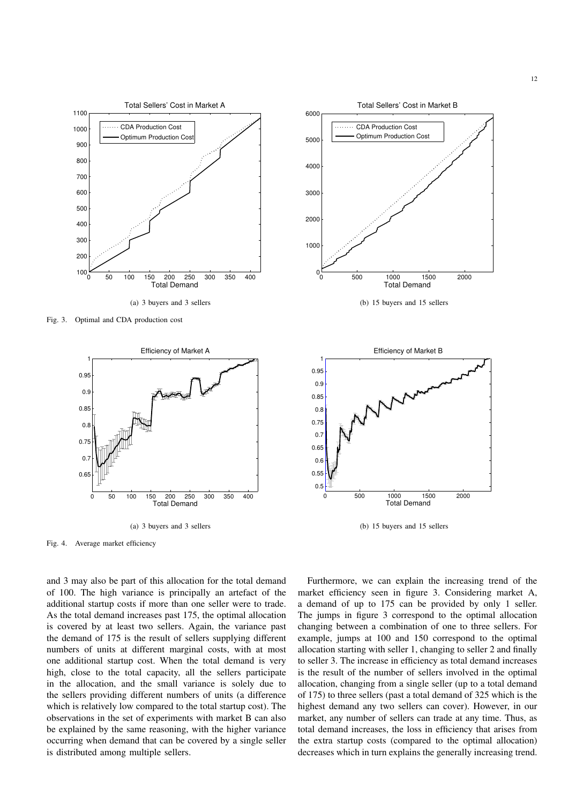

Fig. 3. Optimal and CDA production cost



(a) 3 buyers and 3 sellers

Fig. 4. Average market efficiency

and 3 may also be part of this allocation for the total demand of 100. The high variance is principally an artefact of the additional startup costs if more than one seller were to trade. As the total demand increases past 175, the optimal allocation is covered by at least two sellers. Again, the variance past the demand of 175 is the result of sellers supplying different numbers of units at different marginal costs, with at most one additional startup cost. When the total demand is very high, close to the total capacity, all the sellers participate in the allocation, and the small variance is solely due to the sellers providing different numbers of units (a difference which is relatively low compared to the total startup cost). The observations in the set of experiments with market B can also be explained by the same reasoning, with the higher variance occurring when demand that can be covered by a single seller is distributed among multiple sellers.



Total Sellers' Cost in Market B

 $6000$ 

(b) 15 buyers and 15 sellers

Furthermore, we can explain the increasing trend of the market efficiency seen in figure 3. Considering market A, a demand of up to 175 can be provided by only 1 seller. The jumps in figure 3 correspond to the optimal allocation changing between a combination of one to three sellers. For example, jumps at 100 and 150 correspond to the optimal allocation starting with seller 1, changing to seller 2 and finally to seller 3. The increase in efficiency as total demand increases is the result of the number of sellers involved in the optimal allocation, changing from a single seller (up to a total demand of 175) to three sellers (past a total demand of 325 which is the highest demand any two sellers can cover). However, in our market, any number of sellers can trade at any time. Thus, as total demand increases, the loss in efficiency that arises from the extra startup costs (compared to the optimal allocation) decreases which in turn explains the generally increasing trend.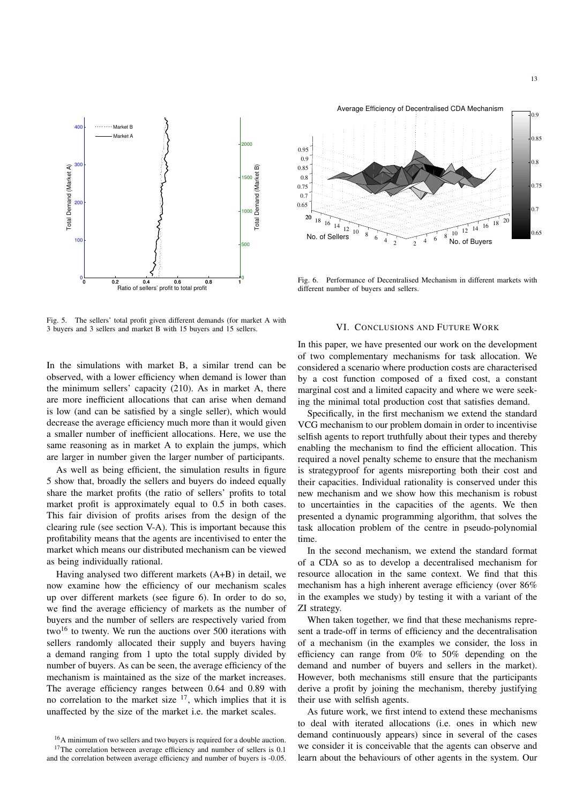

Fig. 5. The sellers' total profit given different demands (for market A with 3 buyers and 3 sellers and market B with 15 buyers and 15 sellers.

In the simulations with market B, a similar trend can be observed, with a lower efficiency when demand is lower than the minimum sellers' capacity (210). As in market A, there are more inefficient allocations that can arise when demand is low (and can be satisfied by a single seller), which would decrease the average efficiency much more than it would given a smaller number of inefficient allocations. Here, we use the same reasoning as in market A to explain the jumps, which are larger in number given the larger number of participants.

As well as being efficient, the simulation results in figure 5 show that, broadly the sellers and buyers do indeed equally share the market profits (the ratio of sellers' profits to total market profit is approximately equal to 0.5 in both cases. This fair division of profits arises from the design of the clearing rule (see section V-A). This is important because this profitability means that the agents are incentivised to enter the market which means our distributed mechanism can be viewed as being individually rational.

Having analysed two different markets (A+B) in detail, we now examine how the efficiency of our mechanism scales up over different markets (see figure 6). In order to do so, we find the average efficiency of markets as the number of buyers and the number of sellers are respectively varied from two<sup>16</sup> to twenty. We run the auctions over 500 iterations with sellers randomly allocated their supply and buyers having a demand ranging from 1 upto the total supply divided by number of buyers. As can be seen, the average efficiency of the mechanism is maintained as the size of the market increases. The average efficiency ranges between 0.64 and 0.89 with no correlation to the market size  $17$ , which implies that it is unaffected by the size of the market i.e. the market scales.



Fig. 6. Performance of Decentralised Mechanism in different markets with different number of buyers and sellers.

#### VI. CONCLUSIONS AND FUTURE WORK

In this paper, we have presented our work on the development of two complementary mechanisms for task allocation. We considered a scenario where production costs are characterised by a cost function composed of a fixed cost, a constant marginal cost and a limited capacity and where we were seeking the minimal total production cost that satisfies demand.

Specifically, in the first mechanism we extend the standard VCG mechanism to our problem domain in order to incentivise selfish agents to report truthfully about their types and thereby enabling the mechanism to find the efficient allocation. This required a novel penalty scheme to ensure that the mechanism is strategyproof for agents misreporting both their cost and their capacities. Individual rationality is conserved under this new mechanism and we show how this mechanism is robust to uncertainties in the capacities of the agents. We then presented a dynamic programming algorithm, that solves the task allocation problem of the centre in pseudo-polynomial time.

In the second mechanism, we extend the standard format of a CDA so as to develop a decentralised mechanism for resource allocation in the same context. We find that this mechanism has a high inherent average efficiency (over 86% in the examples we study) by testing it with a variant of the ZI strategy.

When taken together, we find that these mechanisms represent a trade-off in terms of efficiency and the decentralisation of a mechanism (in the examples we consider, the loss in efficiency can range from 0% to 50% depending on the demand and number of buyers and sellers in the market). However, both mechanisms still ensure that the participants derive a profit by joining the mechanism, thereby justifying their use with selfish agents.

As future work, we first intend to extend these mechanisms to deal with iterated allocations (i.e. ones in which new demand continuously appears) since in several of the cases we consider it is conceivable that the agents can observe and learn about the behaviours of other agents in the system. Our

<sup>&</sup>lt;sup>16</sup>A minimum of two sellers and two buyers is required for a double auction. <sup>17</sup>The correlation between average efficiency and number of sellers is 0.1 and the correlation between average efficiency and number of buyers is -0.05.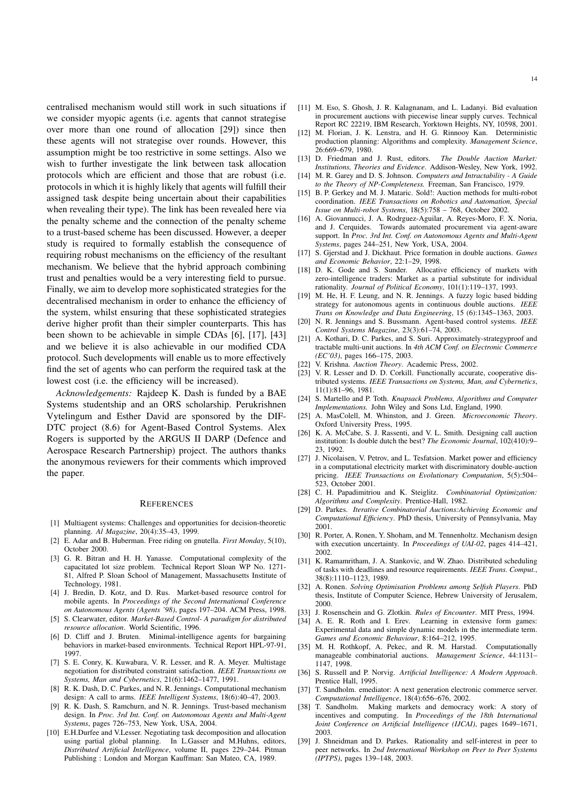centralised mechanism would still work in such situations if we consider myopic agents (i.e. agents that cannot strategise over more than one round of allocation [29]) since then these agents will not strategise over rounds. However, this assumption might be too restrictive in some settings. Also we wish to further investigate the link between task allocation protocols which are efficient and those that are robust (i.e. protocols in which it is highly likely that agents will fulfill their assigned task despite being uncertain about their capabilities when revealing their type). The link has been revealed here via the penalty scheme and the connection of the penalty scheme to a trust-based scheme has been discussed. However, a deeper study is required to formally establish the consequence of requiring robust mechanisms on the efficiency of the resultant mechanism. We believe that the hybrid approach combining trust and penalties would be a very interesting field to pursue. Finally, we aim to develop more sophisticated strategies for the decentralised mechanism in order to enhance the efficiency of the system, whilst ensuring that these sophisticated strategies derive higher profit than their simpler counterparts. This has been shown to be achievable in simple CDAs [6], [17], [43] and we believe it is also achievable in our modified CDA protocol. Such developments will enable us to more effectively find the set of agents who can perform the required task at the lowest cost (i.e. the efficiency will be increased).

*Acknowledgements:* Rajdeep K. Dash is funded by a BAE Systems studentship and an ORS scholarship. Perukrishnen Vytelingum and Esther David are sponsored by the DIF-DTC project (8.6) for Agent-Based Control Systems. Alex Rogers is supported by the ARGUS II DARP (Defence and Aerospace Research Partnership) project. The authors thanks the anonymous reviewers for their comments which improved the paper.

#### **REFERENCES**

- [1] Multiagent systems: Challenges and opportunities for decision-theoretic planning. *Al Magazine*, 20(4):35–43, 1999.
- [2] E. Adar and B. Huberman. Free riding on gnutella. *First Monday*, 5(10), October 2000.
- [3] G. R. Bitran and H. H. Yanasse. Computational complexity of the capacitated lot size problem. Technical Report Sloan WP No. 1271- 81, Alfred P. Sloan School of Management, Massachusetts Institute of Technology, 1981.
- [4] J. Bredin, D. Kotz, and D. Rus. Market-based resource control for mobile agents. In *Proceedings of the Second International Conference on Autonomous Agents (Agents '98)*, pages 197–204. ACM Press, 1998.
- [5] S. Clearwater, editor. *Market-Based Control- A paradigm for distributed resource allocation*. World Scientific, 1996.
- [6] D. Cliff and J. Bruten. Minimal-intelligence agents for bargaining behaviors in market-based environments. Technical Report HPL-97-91, 1997.
- [7] S. E. Conry, K. Kuwabara, V. R. Lesser, and R. A. Meyer. Multistage negotiation for distributed constraint satisfaction. *IEEE Transactions on Systems, Man and Cybernetics*, 21(6):1462–1477, 1991.
- [8] R. K. Dash, D. C. Parkes, and N. R. Jennings. Computational mechanism design: A call to arms. *IEEE Intelligent Systems*, 18(6):40–47, 2003.
- [9] R. K. Dash, S. Ramchurn, and N. R. Jennings. Trust-based mechanism design. In *Proc. 3rd Int. Conf. on Autonomous Agents and Multi-Agent Systems*, pages 726–753, New York, USA, 2004.
- [10] E.H.Durfee and V.Lesser. Negotiating task decomposition and allocation using partial global planning. In L.Gasser and M.Huhns, editors, *Distributed Artificial Intelligence*, volume II, pages 229–244. Pitman Publishing : London and Morgan Kauffman: San Mateo, CA, 1989.
- [11] M. Eso, S. Ghosh, J. R. Kalagnanam, and L. Ladanyi. Bid evaluation in procurement auctions with piecewise linear supply curves. Technical Report RC 22219, IBM Research, Yorktown Heights, NY, 10598, 2001.
- [12] M. Florian, J. K. Lenstra, and H. G. Rinnooy Kan. Deterministic production planning: Algorithms and complexity. *Management Science*, 26:669–679, 1980.
- [13] D. Friedman and J. Rust, editors. *The Double Auction Market: Institutions, Theories and Evidence*. Addison-Wesley, New York, 1992.
- [14] M. R. Garey and D. S. Johnson. *Computers and Intractability - A Guide to the Theory of NP-Completeness.* Freeman, San Francisco, 1979. [15] B. P. Gerkey and M. J. Mataric. Sold!: Auction methods for multi-robot
- coordination. *IEEE Transactions on Robotics and Automation, Special Issue on Multi-robot Systems*, 18(5):758 – 768, October 2002.
- [16] A. Giovannucci, J. A. Rodrguez-Aguilar, A. Reyes-Moro, F. X. Noria, and J. Cerquides. Towards automated procurement via agent-aware support. In *Proc. 3rd Int. Conf. on Autonomous Agents and Multi-Agent Systems*, pages 244–251, New York, USA, 2004.
- [17] S. Gjerstad and J. Dickhaut. Price formation in double auctions. *Games and Economic Behavior*, 22:1–29, 1998.
- [18] D. K. Gode and S. Sunder. Allocative efficiency of markets with zero-intelligence traders: Market as a partial substitute for individual rationality. *Journal of Political Economy*, 101(1):119–137, 1993.
- [19] M. He, H. F. Leung, and N. R. Jennings. A fuzzy logic based bidding strategy for autonomous agents in continuous double auctions. *IEEE Trans on Knowledge and Data Engineering*, 15 (6):1345–1363, 2003.
- [20] N. R. Jennings and S. Bussmann. Agent-based control systems. *IEEE Control Systems Magazine*, 23(3):61–74, 2003.
- [21] A. Kothari, D. C. Parkes, and S. Suri. Approximately-strategyproof and tractable multi-unit auctions. In *4th ACM Conf. on Electronic Commerce (EC'03)*, pages 166–175, 2003.
- [22] V. Krishna. *Auction Theory*. Academic Press, 2002.
- [23] V. R. Lesser and D. D. Corkill. Functionally accurate, cooperative distributed systems. *IEEE Transactions on Systems, Man, and Cybernetics*, 11(1):81–96, 1981.
- [24] S. Martello and P. Toth. *Knapsack Problems, Algorithms and Computer Implementations.* John Wiley and Sons Ltd, England, 1990.
- [25] A. MasColell, M. Whinston, and J. Green. *Microeconomic Theory*. Oxford University Press, 1995.
- [26] K. A. McCabe, S. J. Rassenti, and V. L. Smith. Designing call auction institution: Is double dutch the best? *The Economic Journal*, 102(410):9– 23, 1992.
- [27] J. Nicolaisen, V. Petrov, and L. Tesfatsion. Market power and efficiency in a computational electricity market with discriminatory double-auction pricing. *IEEE Transactions on Evolutionary Computation*, 5(5):504– 523, October 2001.
- [28] C. H. Papadimitriou and K. Steiglitz. *Combinatorial Optimization: Algorithms and Complexity*. Prentice-Hall, 1982.
- [29] D. Parkes. *Iterative Combinatorial Auctions:Achieving Economic and Computational Efficiency*. PhD thesis, University of Pennsylvania, May 2001.
- [30] R. Porter, A. Ronen, Y. Shoham, and M. Tennenholtz. Mechanism design with execution uncertainty. In *Proceedings of UAI-02*, pages 414–421, 2002.
- [31] K. Ramamritham, J. A. Stankovic, and W. Zhao. Distributed scheduling of tasks with deadlines and resource requirements. *IEEE Trans. Comput.*, 38(8):1110–1123, 1989.
- [32] A. Ronen. *Solving Optimisation Problems among Selfish Players*. PhD thesis, Institute of Computer Science, Hebrew University of Jerusalem, 2000.
- [33] J. Rosenschein and G. Zlotkin. *Rules of Encounter*. MIT Press, 1994.
- [34] A. E. R. Roth and I. Erev. Learning in extensive form games: Experimental data and simple dynamic models in the intermediate term. *Games and Economic Behaviour*, 8:164–212, 1995.
- [35] M. H. Rothkopf, A. Pekec, and R. M. Harstad. Computationally manageable combinatorial auctions. *Management Science*, 44:1131– 1147, 1998.
- [36] S. Russell and P. Norvig. *Artificial Intelligence: A Modern Approach*. Prentice Hall, 1995.
- [37] T. Sandholm. emediator: A next generation electronic commerce server. *Computational Intelligence*, 18(4):656–676, 2002.
- T. Sandholm. Making markets and democracy work: A story of incentives and computing. In *Proceedings of the 18th International Joint Conference on Artificial Intelligence (IJCAI)*, pages 1649–1671, 2003.
- [39] J. Shneidman and D. Parkes. Rationality and self-interest in neer to peer networks. In *2nd International Workshop on Peer to Peer Systems (IPTPS)*, pages 139–148, 2003.